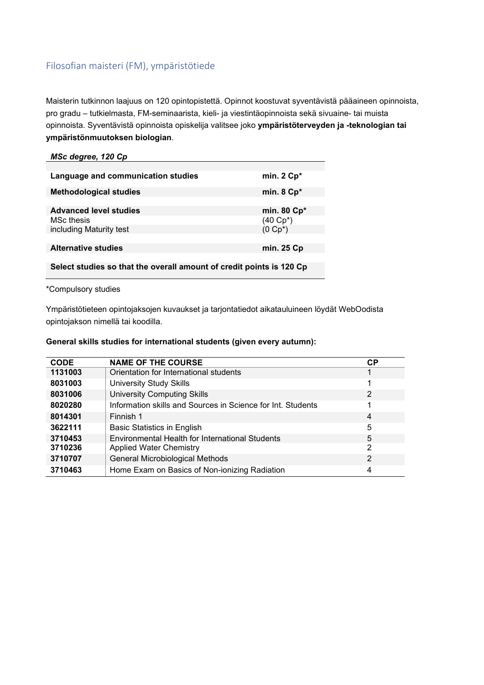# Filosofian maisteri (FM), ympäristötiede

Maisterin tutkinnon laajuus on 120 opintopistettä. Opinnot koostuvat syventävistä pääaineen opinnoista, pro gradu – tutkielmasta, FM-seminaarista, kieli- ja viestintäopinnoista sekä sivuaine- tai muista opinnoista. Syventävistä opinnoista opiskelija valitsee joko **ympäristöterveyden ja -teknologian tai ympäristönmuutoksen biologian**.

| MSc degree, 120 Cp                                                   |                       |
|----------------------------------------------------------------------|-----------------------|
|                                                                      |                       |
| Language and communication studies                                   | min. $2$ Cp*          |
| <b>Methodological studies</b>                                        | min. $8 \text{ Cp}^*$ |
|                                                                      |                       |
| <b>Advanced level studies</b>                                        | min. 80 Cp*           |
| <b>MSc thesis</b>                                                    | $(40 Cp^*)$           |
| including Maturity test                                              | $(0 \text{ Cp*})$     |
|                                                                      |                       |
| <b>Alternative studies</b>                                           | min. 25 Cp            |
|                                                                      |                       |
| Select studies so that the overall amount of credit points is 120 Cp |                       |

\*Compulsory studies

Ympäristötieteen opintojaksojen kuvaukset ja tarjontatiedot aikatauluineen löydät WebOodista opintojakson nimellä tai koodilla.

#### **General skills studies for international students (given every autumn):**

| <b>CODE</b> | <b>NAME OF THE COURSE</b>                                   | <b>CP</b> |
|-------------|-------------------------------------------------------------|-----------|
| 1131003     | Orientation for International students                      |           |
| 8031003     | <b>University Study Skills</b>                              |           |
| 8031006     | <b>University Computing Skills</b>                          | 2         |
| 8020280     | Information skills and Sources in Science for Int. Students |           |
| 8014301     | Finnish 1                                                   | 4         |
| 3622111     | Basic Statistics in English                                 | 5         |
| 3710453     | Environmental Health for International Students             | 5         |
| 3710236     | <b>Applied Water Chemistry</b>                              | 2         |
| 3710707     | General Microbiological Methods                             | 2         |
| 3710463     | Home Exam on Basics of Non-ionizing Radiation               | 4         |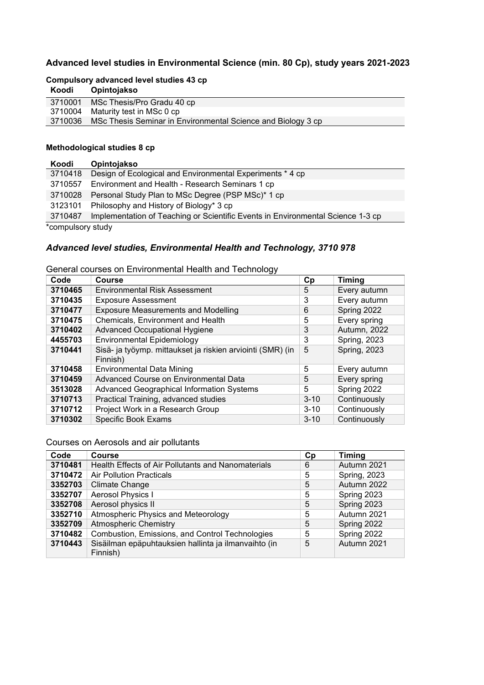## **Advanced level studies in Environmental Science (min. 80 Cp), study years 2021-2023**

### **Compulsory advanced level studies 43 cp**

| Koodi | <b>Opintojakso</b>                                                   |
|-------|----------------------------------------------------------------------|
|       | 3710001 MSc Thesis/Pro Gradu 40 cp                                   |
|       | 3710004 Maturity test in MSc 0 cp                                    |
|       | 3710036 MSc Thesis Seminar in Environmental Science and Biology 3 cp |

### **Methodological studies 8 cp**

| Koodi             | Opintojakso                                                                     |
|-------------------|---------------------------------------------------------------------------------|
| 3710418           | Design of Ecological and Environmental Experiments * 4 cp                       |
|                   | 3710557 Environment and Health - Research Seminars 1 cp                         |
| 3710028           | Personal Study Plan to MSc Degree (PSP MSc)* 1 cp                               |
| 3123101           | Philosophy and History of Biology* 3 cp                                         |
| 3710487           | Implementation of Teaching or Scientific Events in Environmental Science 1-3 cp |
| *compulsory study |                                                                                 |

# *Advanced level studies, Environmental Health and Technology, 3710 978*

| Code    | ັ<br><b>Course</b>                                                     | Cp       | <b>Timing</b>       |
|---------|------------------------------------------------------------------------|----------|---------------------|
| 3710465 | <b>Environmental Risk Assessment</b>                                   | 5        | Every autumn        |
| 3710435 | <b>Exposure Assessment</b>                                             | 3        | Every autumn        |
| 3710477 | <b>Exposure Measurements and Modelling</b>                             | 6        | Spring 2022         |
| 3710475 | Chemicals, Environment and Health                                      | 5        | Every spring        |
| 3710402 | <b>Advanced Occupational Hygiene</b>                                   | 3        | Autumn, 2022        |
| 4455703 | <b>Environmental Epidemiology</b>                                      | 3        | <b>Spring, 2023</b> |
| 3710441 | Sisä- ja työymp. mittaukset ja riskien arviointi (SMR) (in<br>Finnish) | 5        | Spring, 2023        |
| 3710458 | <b>Environmental Data Mining</b>                                       | 5        | Every autumn        |
| 3710459 | Advanced Course on Environmental Data                                  | 5        | Every spring        |
| 3513028 | <b>Advanced Geographical Information Systems</b>                       | 5        | Spring 2022         |
| 3710713 | Practical Training, advanced studies                                   | $3 - 10$ | Continuously        |
| 3710712 | Project Work in a Research Group                                       | $3 - 10$ | Continuously        |
| 3710302 | <b>Specific Book Exams</b>                                             | $3 - 10$ | Continuously        |

General courses on Environmental Health and Technology

Courses on Aerosols and air pollutants

| Code    | <b>Course</b>                                        | Cp | <b>Timing</b>       |
|---------|------------------------------------------------------|----|---------------------|
| 3710481 | Health Effects of Air Pollutants and Nanomaterials   | 6  | Autumn 2021         |
| 3710472 | <b>Air Pollution Practicals</b>                      | 5  | <b>Spring, 2023</b> |
| 3352703 | Climate Change                                       | 5  | Autumn 2022         |
| 3352707 | Aerosol Physics I                                    | 5  | Spring 2023         |
| 3352708 | Aerosol physics II                                   | 5  | Spring 2023         |
| 3352710 | Atmospheric Physics and Meteorology                  | 5  | Autumn 2021         |
| 3352709 | <b>Atmospheric Chemistry</b>                         | 5  | Spring 2022         |
| 3710482 | Combustion, Emissions, and Control Technologies      | 5  | Spring 2022         |
| 3710443 | Sisäilman epäpuhtauksien hallinta ja ilmanvaihto (in | 5  | Autumn 2021         |
|         | Finnish)                                             |    |                     |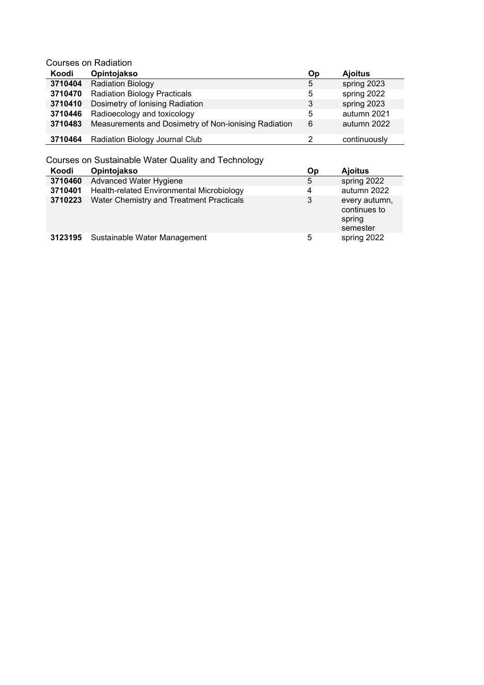Courses on Radiation

| Koodi   | Opintojakso                                          | Op | <b>Ajoitus</b> |
|---------|------------------------------------------------------|----|----------------|
| 3710404 | <b>Radiation Biology</b>                             | 5  | spring 2023    |
| 3710470 | <b>Radiation Biology Practicals</b>                  | 5  | spring 2022    |
| 3710410 | Dosimetry of Ionising Radiation                      | 3  | spring 2023    |
| 3710446 | Radioecology and toxicology                          | 5  | autumn 2021    |
| 3710483 | Measurements and Dosimetry of Non-ionising Radiation | 6  | autumn 2022    |
| 3710464 | Radiation Biology Journal Club                       |    | continuously   |

Courses on Sustainable Water Quality and Technology

| Koodi   | Opintojakso                               | Оp | <b>Ajoitus</b>                                      |
|---------|-------------------------------------------|----|-----------------------------------------------------|
| 3710460 | Advanced Water Hygiene                    | 5  | spring 2022                                         |
| 3710401 | Health-related Environmental Microbiology | 4  | autumn 2022                                         |
| 3710223 | Water Chemistry and Treatment Practicals  | 3  | every autumn,<br>continues to<br>spring<br>semester |
| 3123195 | Sustainable Water Management              | 5  | spring 2022                                         |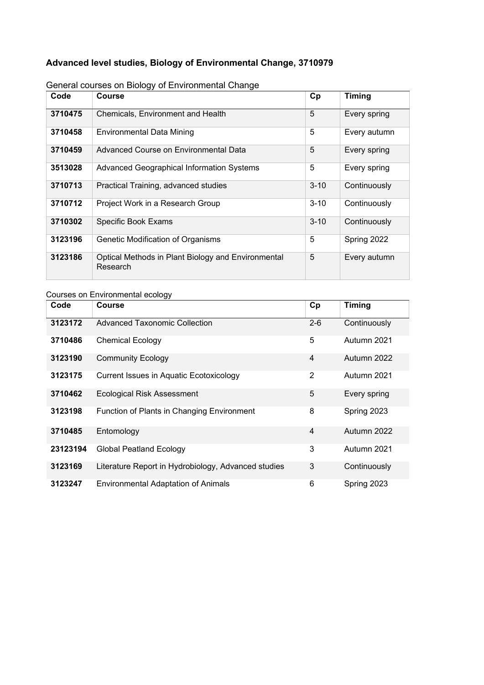# **Advanced level studies, Biology of Environmental Change, 3710979**

| Code    | Course                                                         | Cp       | <b>Timing</b> |
|---------|----------------------------------------------------------------|----------|---------------|
| 3710475 | Chemicals, Environment and Health                              | 5        | Every spring  |
| 3710458 | Environmental Data Mining                                      | 5        | Every autumn  |
| 3710459 | Advanced Course on Environmental Data                          | 5        | Every spring  |
| 3513028 | <b>Advanced Geographical Information Systems</b>               | 5        | Every spring  |
| 3710713 | Practical Training, advanced studies                           | $3 - 10$ | Continuously  |
| 3710712 | Project Work in a Research Group                               | $3 - 10$ | Continuously  |
| 3710302 | <b>Specific Book Exams</b>                                     | $3 - 10$ | Continuously  |
| 3123196 | Genetic Modification of Organisms                              | 5        | Spring 2022   |
| 3123186 | Optical Methods in Plant Biology and Environmental<br>Research | 5        | Every autumn  |

## General courses on Biology of Environmental Change

## Courses on Environmental ecology

| Code     | Course                                              | Cp             | Timing       |
|----------|-----------------------------------------------------|----------------|--------------|
| 3123172  | Advanced Taxonomic Collection                       | $2 - 6$        | Continuously |
| 3710486  | <b>Chemical Ecology</b>                             | 5              | Autumn 2021  |
| 3123190  | <b>Community Ecology</b>                            | 4              | Autumn 2022  |
| 3123175  | Current Issues in Aquatic Ecotoxicology             | 2              | Autumn 2021  |
| 3710462  | <b>Ecological Risk Assessment</b>                   | 5              | Every spring |
| 3123198  | Function of Plants in Changing Environment          | 8              | Spring 2023  |
| 3710485  | Entomology                                          | $\overline{4}$ | Autumn 2022  |
| 23123194 | <b>Global Peatland Ecology</b>                      | 3              | Autumn 2021  |
| 3123169  | Literature Report in Hydrobiology, Advanced studies | 3              | Continuously |
| 3123247  | <b>Environmental Adaptation of Animals</b>          | 6              | Spring 2023  |